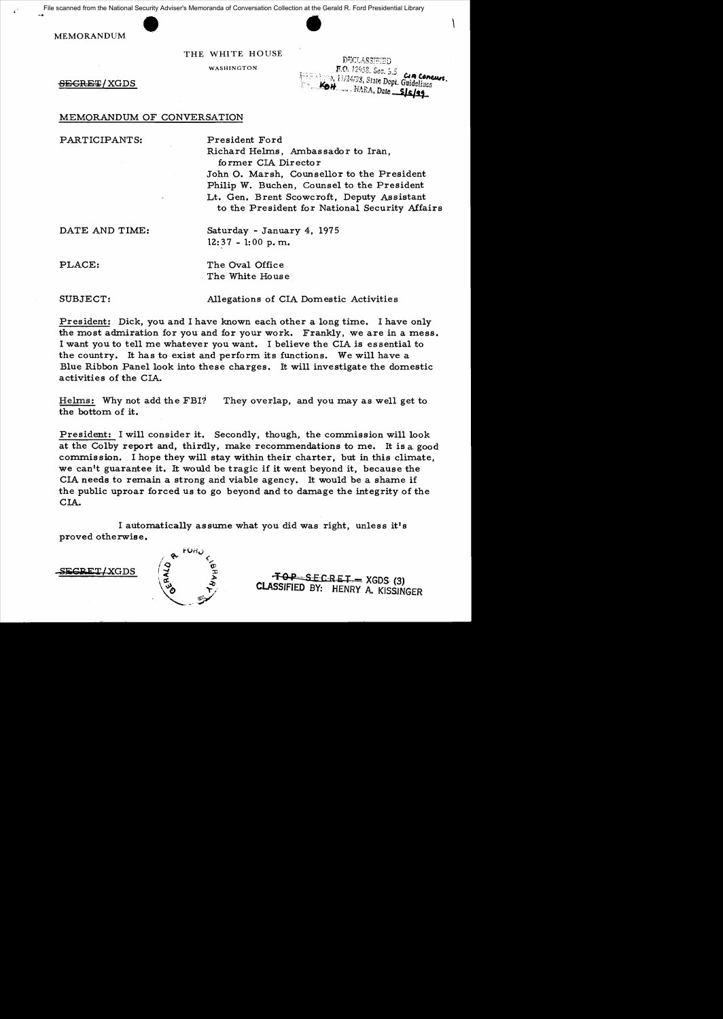File scanned from the National Security Adviser's Memoranda of Conversation Collection at the Gerald R. Ford Presidential Library<br>MEMORANDUM<br>THE WHITE HOUSE

## THE WHITE HOUSE

**WASHINGTON** 

SEGRE\$/XGDS

DUCLASSEEED  $F. O. 12958,$  Sec. 5.5<br> $10.4793,$  State Dans **Cary Concurs.**  $\mathcal{L}^{(1)}$  12938, Sec. 5.5 **CLA Cone**<br> $\mathcal{L}$  **KoH** MARA Dept. Guidelines KoH MARA, Date Sigles

## MEMORANDUM OF CONVERSATION

PARTICIPANTS: President Ford Richard Helms, Ambassador to Iran, fo rmer CIA Dir ecto r John O. Marsh, Counsellor to the President Philip W. Buchen, Counsel to the President Lt. Gen. Brent Scowcroft, Deputy Assistant to the President for National Security Affairs

DATE AND TIME: Saturday - January 4, 1975  $12:37 - 1:00$  p.m.

PLACE: The Oval Office The White House

SUBJECT: Allegations of CIA Domestic Activities

President: Dick, you and I have known each other a long time. I have only the most admiration for you and for your work. Frankly, we are in a mess. I want you to tell me whatever you want. I believe the CIA is essential to the country. It has to exist and perform its functions. We will have a Blue Ribbon Panel look into these charges. It will investigate the domestic activities of the CIA.

Helms: Why not add the FBI? They overlap, and you may as well get to the bottom of it.

President: I will consider it. Secondly, though, the commission will look at the Colby report and, thirdly, make recommendations to me. It is a good commission. I hope they will stay within their charter, but in this climate, we can't guarantee it. It would be tragic if it went beyond it, because the CIA needs to remain a strong and viable agency. It would be a shame if the public uproar forced us to go beyond and to damage the integrity of the CIA.

I automatically assume what you did was right, unless it's proved otherwise.

/ xans



 $FOP-SECRET- XGDS(3)$ **CLASSIFIED** BY: HENRY A. KISSJNGER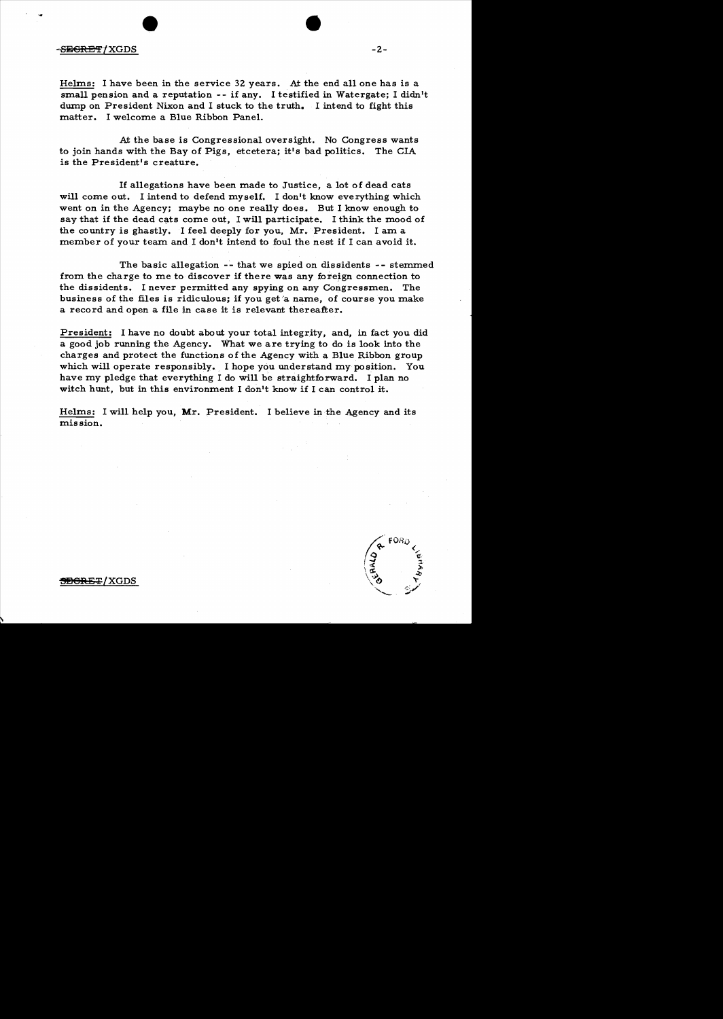## $-{\rm SE}$ GR ${\rm E}$ T $/$ XGDS -2- $-$ 2.

Helms: I have been in the service 32 years. At the end all one has is a small pension and a reputation -- if any. I testified in Watergate; I didn't dump on President Nixon and I stuck to the truth. I intend to fight this matter. I welcome a Blue Ribbon Panel.

At the base is Congressional oversight. No Congress wants to join hands with the Bay of Pigs, etcetera; it's bad politics. The CIA is the President's creature.

If allegations have been made to Justice, a lot of dead cats will come out. I intend to defend myself. I don't know everything which went on in the Agency; maybe no one really does. But I know enough to say that if the dead cats come out, I will participate. I think the mood of the country is ghastly. I feel deeply for you, Mr. President. I am a member of your team and I don't intend to foul the nest if I can avoid it.

The basic allegation -- that we spied on dissidents -- stemmed from the charge to me to discover if there was any foreign connection to the dissidents. I never permitted any spying on any Congressmen. The business of the files is ridiculous; if you get a name, of course you make a record and open a file in case it is relevant thereafter.

President: I have no doubt about your total integrity, and, in fact you did a good job running the Agency. What we are trying to do is look into the charges and protect the functions of the Agency with a Blue Ribbon group which will operate responsibly. I hope you understand my position. You have my pledge that everything I do will be straightforward. I plan no witch hunt, but in this environment I don't know if I can control it.

Helms: I will help you, Mr. President. I believe in the Agency and its mission.

**SECRET/XGDS**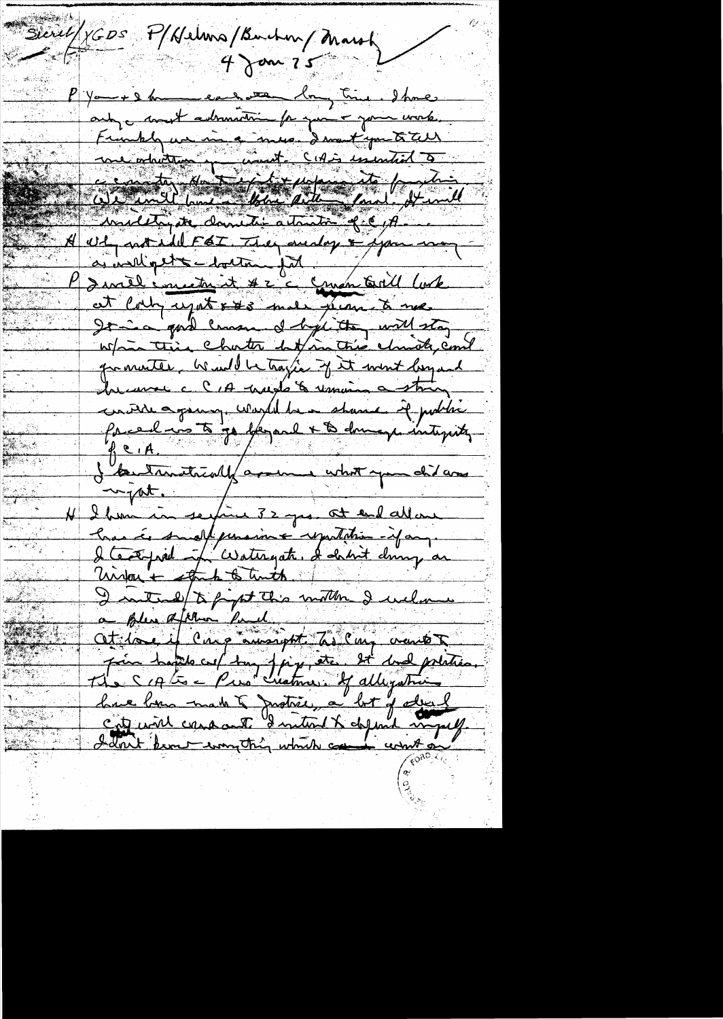Secret/XGDS P/Helms/Buchen/ Marsh  $\blacktriangleleft$  .  $\blacktriangleleft$  $4$  Jan 25 P yours hummer every time. I have and a rout admiration for your your work. Friends un in a mes dematique à TIL Why not idd FET They analog & year was aindigets-docton fit at lorty upont & the mole plan to me It is a good cannon I hyperthey will stay W/ma très chater det in this church, comt gramenter, Wandel be tragée of it wint beyond he more c C 1A -march & union a story creater againsq. World be a showed. If public Pacelin To fégant & dumage integritz I kentamatrically around what you did and 2 bien in serfine 32 por at end all are Cran à small junion a reputation - il any.<br>Il Carapiel of Ceratingate, d'abitit donny au Dintrell à fight this mother I welcome a plus d'une faul<br>Otilore il comp avangt dis compte avante have how make I Justice, a bot of deal